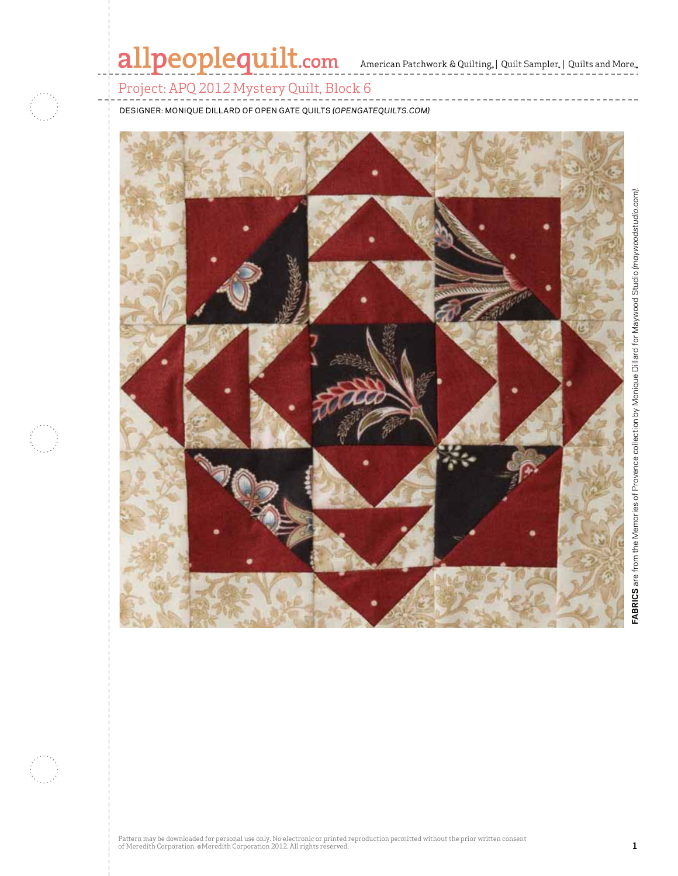# allpeoplequilt.com American Patchwork & Quilting. | Quilt Sampler. | Quilts and More..

Project: APQ 2012 Mystery Quilt, Block 6

DESIGNER: Monique Dillard of Open Gate Quilts *(opengatequilts.com)*